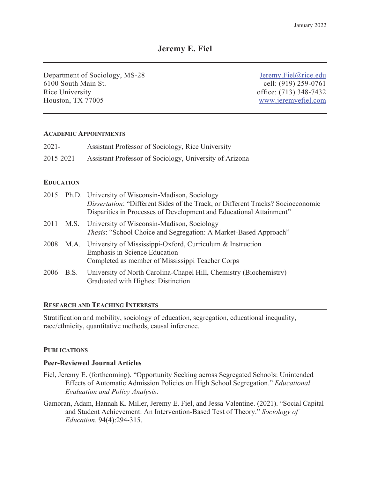Department of Sociology, MS-28 6100 South Main St. Rice University Houston, TX 77005

 [Jeremy.Fiel@rice.edu](mailto:Jeremy.Fiel@rice.edu) cell: (919) 259-0761 <www.jeremyefiel.com> office: (713) 348-7432

### **ACADEMIC APPOINTMENTS**

| $2021 -$  | Assistant Professor of Sociology, Rice University       |
|-----------|---------------------------------------------------------|
| 2015-2021 | Assistant Professor of Sociology, University of Arizona |

### **EDUCATION**

|  | 2015 Ph.D. University of Wisconsin-Madison, Sociology<br>Dissertation: "Different Sides of the Track, or Different Tracks? Socioeconomic<br>Disparities in Processes of Development and Educational Attainment" |
|--|-----------------------------------------------------------------------------------------------------------------------------------------------------------------------------------------------------------------|
|  | 2011 M.S. University of Wisconsin-Madison, Sociology<br>Thesis: "School Choice and Segregation: A Market-Based Approach"                                                                                        |
|  | 2008 M.A. University of Mississippi-Oxford, Curriculum & Instruction<br>Emphasis in Science Education<br>Completed as member of Mississippi Teacher Corps                                                       |
|  | 2006 B.S. University of North Carolina-Chapel Hill, Chemistry (Biochemistry)<br>Graduated with Highest Distinction                                                                                              |

## **RESEARCH AND TEACHING INTERESTS**

Stratification and mobility, sociology of education, segregation, educational inequality, race/ethnicity, quantitative methods, causal inference.

## **PUBLICATIONS**

## **Peer-Reviewed Journal Articles**

- Fiel, Jeremy E. (forthcoming). "Opportunity Seeking across Segregated Schools: Unintended Effects of Automatic Admission Policies on High School Segregation." *Educational Evaluation and Policy Analysis*.
- Gamoran, Adam, Hannah K. Miller, Jeremy E. Fiel, and Jessa Valentine. (2021). "Social Capital and Student Achievement: An Intervention-Based Test of Theory." *Sociology of Education*. 94(4):294-315.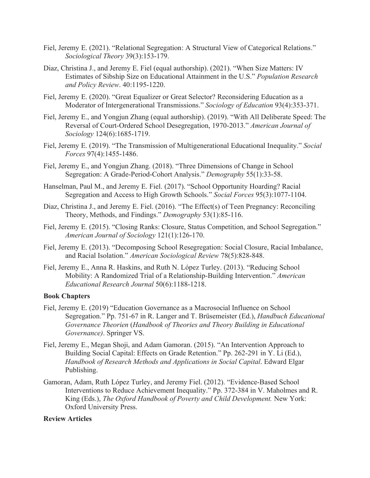- Fiel, Jeremy E. (2021). "Relational Segregation: A Structural View of Categorical Relations." *Sociological Theory* 39(3):153-179.
- Diaz, Christina J., and Jeremy E. Fiel (equal authorship). (2021). "When Size Matters: IV Estimates of Sibship Size on Educational Attainment in the U.S." *Population Research and Policy Review*. 40:1195-1220.
- Fiel, Jeremy E. (2020). "Great Equalizer or Great Selector? Reconsidering Education as a Moderator of Intergenerational Transmissions." *Sociology of Education* 93(4):353-371.
- Fiel, Jeremy E., and Yongjun Zhang (equal authorship). (2019). "With All Deliberate Speed: The Reversal of Court-Ordered School Desegregation, 1970-2013." *American Journal of Sociology* 124(6):1685-1719.
- Fiel, Jeremy E. (2019). "The Transmission of Multigenerational Educational Inequality." *Social Forces* 97(4):1455-1486.
- Fiel, Jeremy E., and Yongjun Zhang. (2018). "Three Dimensions of Change in School Segregation: A Grade-Period-Cohort Analysis." *Demography* 55(1):33-58.
- Hanselman, Paul M., and Jeremy E. Fiel. (2017). "School Opportunity Hoarding? Racial Segregation and Access to High Growth Schools." *Social Forces* 95(3):1077-1104.
- Diaz, Christina J., and Jeremy E. Fiel. (2016). "The Effect(s) of Teen Pregnancy: Reconciling Theory, Methods, and Findings." *Demography* 53(1):85-116.
- American Journal of Sociology 121(1):126-170. Fiel, Jeremy E. (2015). "Closing Ranks: Closure, Status Competition, and School Segregation."
- Fiel, Jeremy E. (2013). "Decomposing School Resegregation: Social Closure, Racial Imbalance, and Racial Isolation." *American Sociological Review* 78(5):828-848.
- Fiel, Jeremy E., Anna R. Haskins, and Ruth N. López Turley. (2013). "Reducing School Mobility: A Randomized Trial of a Relationship-Building Intervention." *American Educational Research Journal* 50(6):1188-1218.

### **Book Chapters**

- Fiel, Jeremy E. (2019) "Education Governance as a Macrosocial Influence on School Segregation." Pp. 751-67 in R. Langer and T. Brüsemeister (Ed.), *Handbuch Educational Governance Theorien* (*Handbook of Theories and Theory Building in Educational Governance)*. Springer VS.
- Fiel, Jeremy E., Megan Shoji, and Adam Gamoran. (2015). "An Intervention Approach to *Handbook of Research Methods and Applications in Social Capital*. Edward Elgar Building Social Capital: Effects on Grade Retention." Pp. 262-291 in Y. Li (Ed.), Publishing.
- Gamoran, Adam, Ruth López Turley, and Jeremy Fiel. (2012). "Evidence-Based School Interventions to Reduce Achievement Inequality." Pp. 372-384 in V. Maholmes and R. King (Eds.), *The Oxford Handbook of Poverty and Child Development.* New York: Oxford University Press.

#### **Review Articles**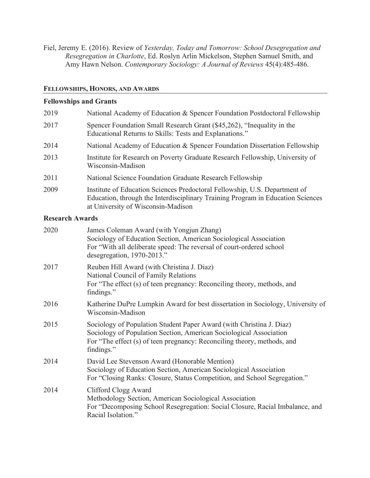Fiel, Jeremy E. (2016). Review of *Yesterday, Today and Tomorrow: School Desegregation and Resegregation in Charlotte*, Ed. Roslyn Arlin Mickelson, Stephen Samuel Smith, and Amy Hawn Nelson. *Contemporary Sociology: A Journal of Reviews* 45(4):485-486.

# **FELLOWSHIPS, HONORS, AND AWARDS**

# **Fellowships and Grants**

| 2019 | National Academy of Education & Spencer Foundation Postdoctoral Fellowship                                                                                                                          |
|------|-----------------------------------------------------------------------------------------------------------------------------------------------------------------------------------------------------|
| 2017 | Spencer Foundation Small Research Grant (\$45,262), "Inequality in the<br>Educational Returns to Skills: Tests and Explanations."                                                                   |
| 2014 | National Academy of Education & Spencer Foundation Dissertation Fellowship                                                                                                                          |
| 2013 | Institute for Research on Poverty Graduate Research Fellowship, University of<br>Wisconsin-Madison                                                                                                  |
| 2011 | National Science Foundation Graduate Research Fellowship                                                                                                                                            |
| 2009 | Institute of Education Sciences Predoctoral Fellowship, U.S. Department of<br>Education, through the Interdisciplinary Training Program in Education Sciences<br>at University of Wisconsin-Madison |

# **Research Awards**

| 2020 | James Coleman Award (with Yongjun Zhang)<br>Sociology of Education Section, American Sociological Association<br>For "With all deliberate speed: The reversal of court-ordered school<br>desegregation, 1970-2013."                 |
|------|-------------------------------------------------------------------------------------------------------------------------------------------------------------------------------------------------------------------------------------|
| 2017 | Reuben Hill Award (with Christina J. Diaz)<br>National Council of Family Relations<br>For "The effect (s) of teen pregnancy: Reconciling theory, methods, and<br>findings."                                                         |
| 2016 | Katherine DuPre Lumpkin Award for best dissertation in Sociology, University of<br>Wisconsin-Madison                                                                                                                                |
| 2015 | Sociology of Population Student Paper Award (with Christina J. Diaz)<br>Sociology of Population Section, American Sociological Association<br>For "The effect (s) of teen pregnancy: Reconciling theory, methods, and<br>findings." |
| 2014 | David Lee Stevenson Award (Honorable Mention)<br>Sociology of Education Section, American Sociological Association<br>For "Closing Ranks: Closure, Status Competition, and School Segregation."                                     |
| 2014 | Clifford Clogg Award<br>Methodology Section, American Sociological Association<br>For "Decomposing School Resegregation: Social Closure, Racial Imbalance, and<br>Racial Isolation."                                                |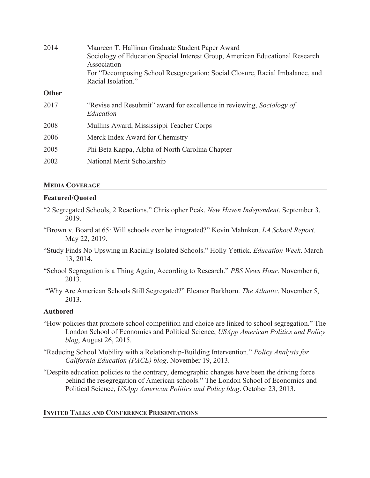| 2014         | Maureen T. Hallinan Graduate Student Paper Award<br>Sociology of Education Special Interest Group, American Educational Research<br>Association<br>For "Decomposing School Resegregation: Social Closure, Racial Imbalance, and<br>Racial Isolation." |
|--------------|-------------------------------------------------------------------------------------------------------------------------------------------------------------------------------------------------------------------------------------------------------|
| <b>Other</b> |                                                                                                                                                                                                                                                       |
| 2017         | "Revise and Resubmit" award for excellence in reviewing, Sociology of<br>Education                                                                                                                                                                    |
| 2008         | Mullins Award, Mississippi Teacher Corps                                                                                                                                                                                                              |
| 2006         | Merck Index Award for Chemistry                                                                                                                                                                                                                       |
| 2005         | Phi Beta Kappa, Alpha of North Carolina Chapter                                                                                                                                                                                                       |
| 2002         | National Merit Scholarship                                                                                                                                                                                                                            |

# **MEDIA COVERAGE**

# **Featured/Quoted**

- "2 Segregated Schools, 2 Reactions." Christopher Peak. *New Haven Independent*. September 3, 2019.
- "Brown v. Board at 65: Will schools ever be integrated?" Kevin Mahnken. *LA School Report*. May 22, 2019.
- "Study Finds No Upswing in Racially Isolated Schools." Holly Yettick. *Education Week*. March 13, 2014.
- "School Segregation is a Thing Again, According to Research." *PBS News Hour*. November 6, 2013.
- "Why Are American Schools Still Segregated?" Eleanor Barkhorn. *The Atlantic*. November 5, 2013.

# **Authored**

- "How policies that promote school competition and choice are linked to school segregation." The London School of Economics and Political Science, *USApp American Politics and Policy blog*, August 26, 2015.
- "Reducing School Mobility with a Relationship-Building Intervention." *Policy Analysis for California Education (PACE) blog*. November 19, 2013.
- "Despite education policies to the contrary, demographic changes have been the driving force behind the resegregation of American schools." The London School of Economics and Political Science, *USApp American Politics and Policy blog*. October 23, 2013.

# **INVITED TALKS AND CONFERENCE PRESENTATIONS**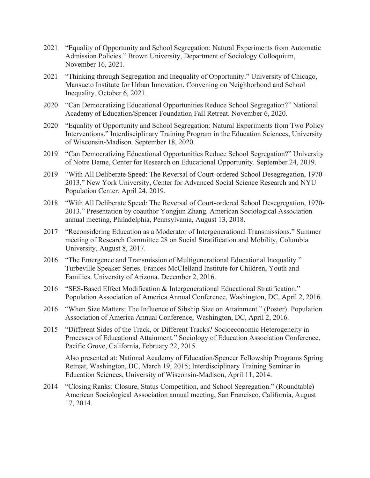- 2021 "Equality of Opportunity and School Segregation: Natural Experiments from Automatic Admission Policies." Brown University, Department of Sociology Colloquium, November 16, 2021.
- 2021 "Thinking through Segregation and Inequality of Opportunity." University of Chicago, Mansueto Institute for Urban Innovation, Convening on Neighborhood and School Inequality. October 6, 2021.
- 2020 "Can Democratizing Educational Opportunities Reduce School Segregation?" National Academy of Education/Spencer Foundation Fall Retreat. November 6, 2020.
- 2020 "Equality of Opportunity and School Segregation: Natural Experiments from Two Policy Interventions." Interdisciplinary Training Program in the Education Sciences, University of Wisconsin-Madison. September 18, 2020.
- 2019 "Can Democratizing Educational Opportunities Reduce School Segregation?" University of Notre Dame, Center for Research on Educational Opportunity. September 24, 2019.
- 2019 "With All Deliberate Speed: The Reversal of Court-ordered School Desegregation, 1970- 2013." New York University, Center for Advanced Social Science Research and NYU Population Center. April 24, 2019.
- 2018 "With All Deliberate Speed: The Reversal of Court-ordered School Desegregation, 1970- 2013." Presentation by coauthor Yongjun Zhang. American Sociological Association annual meeting, Philadelphia, Pennsylvania, August 13, 2018.
- 2017 "Reconsidering Education as a Moderator of Intergenerational Transmissions." Summer meeting of Research Committee 28 on Social Stratification and Mobility, Columbia University, August 8, 2017.
- 2016 "The Emergence and Transmission of Multigenerational Educational Inequality." Turbeville Speaker Series. Frances McClelland Institute for Children, Youth and Families. University of Arizona. December 2, 2016.
- 2016 "SES-Based Effect Modification & Intergenerational Educational Stratification." Population Association of America Annual Conference, Washington, DC, April 2, 2016.
- 2016 "When Size Matters: The Influence of Sibship Size on Attainment." (Poster). Population Association of America Annual Conference, Washington, DC, April 2, 2016.
- 2015 "Different Sides of the Track, or Different Tracks? Socioeconomic Heterogeneity in Processes of Educational Attainment." Sociology of Education Association Conference, Pacific Grove, California, February 22, 2015.

 Retreat, Washington, DC, March 19, 2015; Interdisciplinary Training Seminar in Also presented at: National Academy of Education/Spencer Fellowship Programs Spring Education Sciences, University of Wisconsin-Madison, April 11, 2014.

2014 "Closing Ranks: Closure, Status Competition, and School Segregation." (Roundtable) American Sociological Association annual meeting, San Francisco, California, August 17, 2014.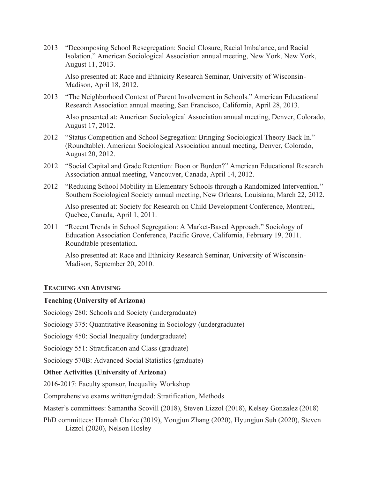2013 "Decomposing School Resegregation: Social Closure, Racial Imbalance, and Racial Isolation." American Sociological Association annual meeting, New York, New York, August 11, 2013.

Also presented at: Race and Ethnicity Research Seminar, University of Wisconsin-Madison, April 18, 2012.

Research Association annual meeting, San Francisco, California, April 28, 2013. 2013 "The Neighborhood Context of Parent Involvement in Schools." American Educational

Also presented at: American Sociological Association annual meeting, Denver, Colorado, August 17, 2012.

- 2012 "Status Competition and School Segregation: Bringing Sociological Theory Back In." (Roundtable). American Sociological Association annual meeting, Denver, Colorado, August 20, 2012.
- 2012 "Social Capital and Grade Retention: Boon or Burden?" American Educational Research Association annual meeting, Vancouver, Canada, April 14, 2012.
- Southern Sociological Society annual meeting, New Orleans, Louisiana, March 22, 2012. 2012 "Reducing School Mobility in Elementary Schools through a Randomized Intervention."

Also presented at: Society for Research on Child Development Conference, Montreal, Quebec, Canada, April 1, 2011.

Roundtable presentation. 2011 "Recent Trends in School Segregation: A Market-Based Approach." Sociology of Education Association Conference, Pacific Grove, California, February 19, 2011.

Also presented at: Race and Ethnicity Research Seminar, University of Wisconsin-Madison, September 20, 2010.

### **TEACHING AND ADVISING**

## **Teaching (University of Arizona)**

Sociology 280: Schools and Society (undergraduate)

Sociology 375: Quantitative Reasoning in Sociology (undergraduate)

Sociology 450: Social Inequality (undergraduate)

Sociology 551: Stratification and Class (graduate)

Sociology 570B: Advanced Social Statistics (graduate)

## **Other Activities (University of Arizona)**

2016-2017: Faculty sponsor, Inequality Workshop

Comprehensive exams written/graded: Stratification, Methods

Master's committees: Samantha Scovill (2018), Steven Lizzol (2018), Kelsey Gonzalez (2018)

PhD committees: Hannah Clarke (2019), Yongjun Zhang (2020), Hyungjun Suh (2020), Steven Lizzol (2020), Nelson Hosley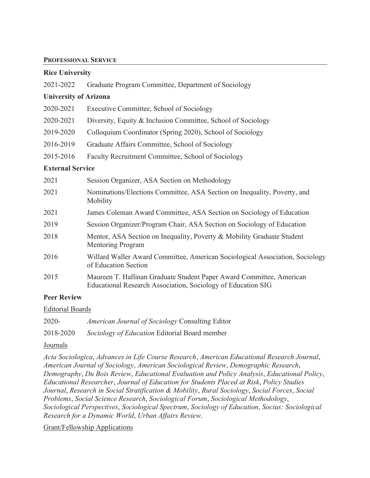### **PROFESSIONAL SERVICE**

| <b>Rice University</b>       |                                                                                                                                      |  |  |
|------------------------------|--------------------------------------------------------------------------------------------------------------------------------------|--|--|
| 2021-2022                    | Graduate Program Committee, Department of Sociology                                                                                  |  |  |
| <b>University of Arizona</b> |                                                                                                                                      |  |  |
| 2020-2021                    | Executive Committee, School of Sociology                                                                                             |  |  |
| 2020-2021                    | Diversity, Equity & Inclusion Committee, School of Sociology                                                                         |  |  |
| 2019-2020                    | Colloquium Coordinator (Spring 2020), School of Sociology                                                                            |  |  |
| 2016-2019                    | Graduate Affairs Committee, School of Sociology                                                                                      |  |  |
| 2015-2016                    | Faculty Recruitment Committee, School of Sociology                                                                                   |  |  |
| <b>External Service</b>      |                                                                                                                                      |  |  |
| 2021                         | Session Organizer, ASA Section on Methodology                                                                                        |  |  |
| 2021                         | Nominations/Elections Committee, ASA Section on Inequality, Poverty, and<br>Mobility                                                 |  |  |
| 2021                         | James Coleman Award Committee, ASA Section on Sociology of Education                                                                 |  |  |
| 2019                         | Session Organizer/Program Chair, ASA Section on Sociology of Education                                                               |  |  |
| 2018                         | Mentor, ASA Section on Inequality, Poverty & Mobility Graduate Student<br><b>Mentoring Program</b>                                   |  |  |
| 2016                         | Willard Waller Award Committee, American Sociological Association, Sociology<br>of Education Section                                 |  |  |
| 2015                         | Maureen T. Hallinan Graduate Student Paper Award Committee, American<br>Educational Research Association, Sociology of Education SIG |  |  |
| <b>Peer Review</b>           |                                                                                                                                      |  |  |

Editorial Boards

2020- *American Journal of Sociology* Consulting Editor

2018-2020 *Sociology of Education* Editorial Board member

## Journals

*Acta Sociologica*, *Advances in Life Course Research*, *American Educational Research Journal*, *American Journal of Sociology*, *American Sociological Review*, *Demographic Research*, *Demography*, *Du Bois Review*, *Educational Evaluation and Policy Analysis*, *Educational Policy*, *Educational Researcher*, *Journal of Education for Students Placed at Risk*, *Policy Studies Journal*, *Research in Social Stratification & Mobility*, *Rural Sociology*, *Social Forces*, *Social Problems*, *Social Science Research*, *Sociological Forum*, *Sociological Methodology*, *Sociological Perspectives*, *Sociological Spectrum*, *Sociology of Education*, *Socius: Sociological Research for a Dynamic World*, *Urban Affairs Review*.

Grant/Fellowship Applications